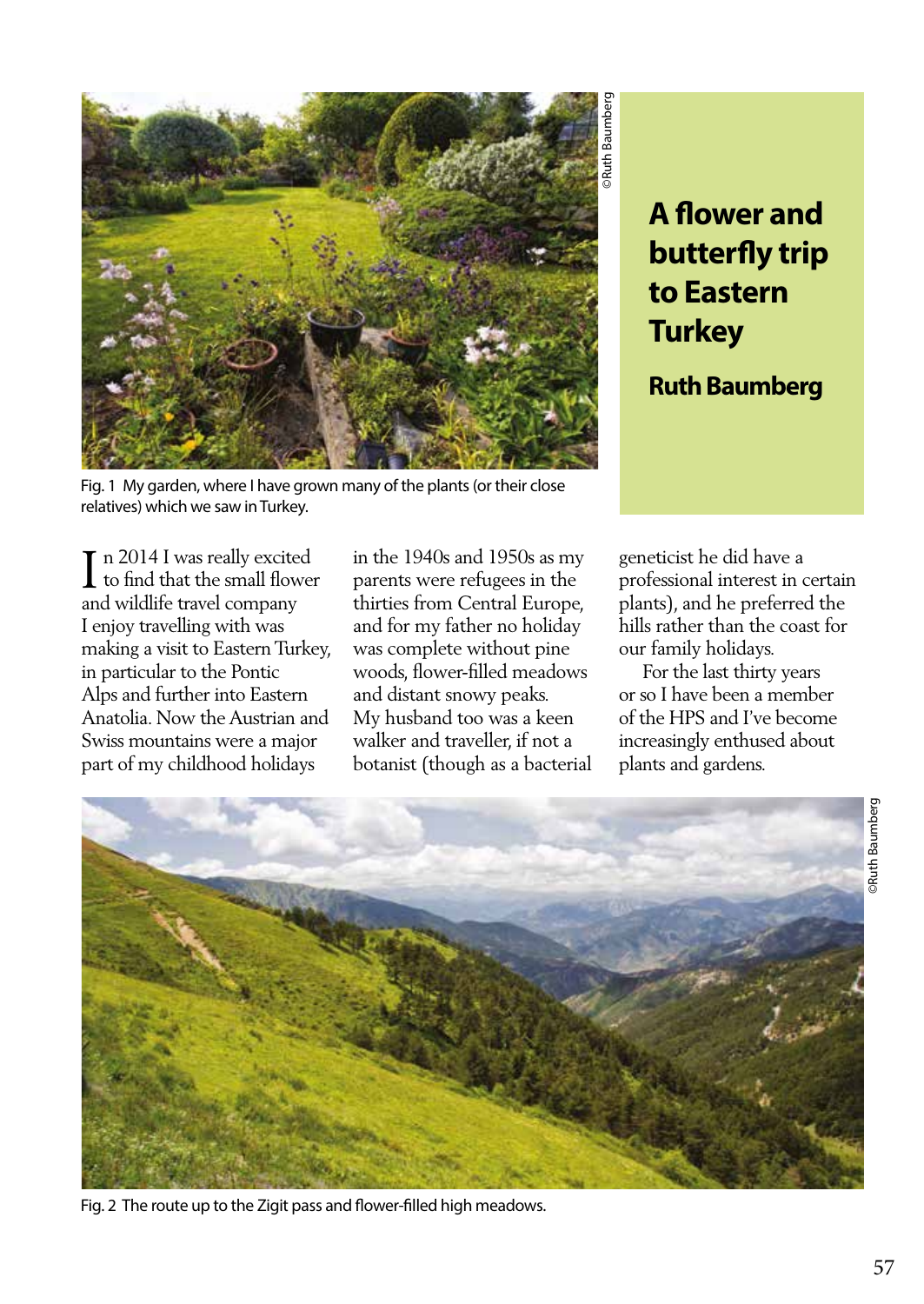

**A flower and butterfly trip to Eastern Turkey**

**Ruth Baumberg**

Fig. 1 My garden, where I have grown many of the plants (or their close relatives) which we saw in Turkey.

 $\prod$  n 2014 I was really excited<br>to find that the small flower n 2014 I was really excited and wildlife travel company I enjoy travelling with was making a visit to Eastern Turkey, in particular to the Pontic Alps and further into Eastern Anatolia. Now the Austrian and Swiss mountains were a major part of my childhood holidays

in the 1940s and 1950s as my parents were refugees in the thirties from Central Europe, and for my father no holiday was complete without pine woods, flower-filled meadows and distant snowy peaks. My husband too was a keen walker and traveller, if not a botanist (though as a bacterial

geneticist he did have a professional interest in certain plants), and he preferred the hills rather than the coast for our family holidays.

 For the last thirty years or so I have been a member of the HPS and I've become increasingly enthused about plants and gardens.



Fig. 2 The route up to the Zigit pass and flower-filled high meadows.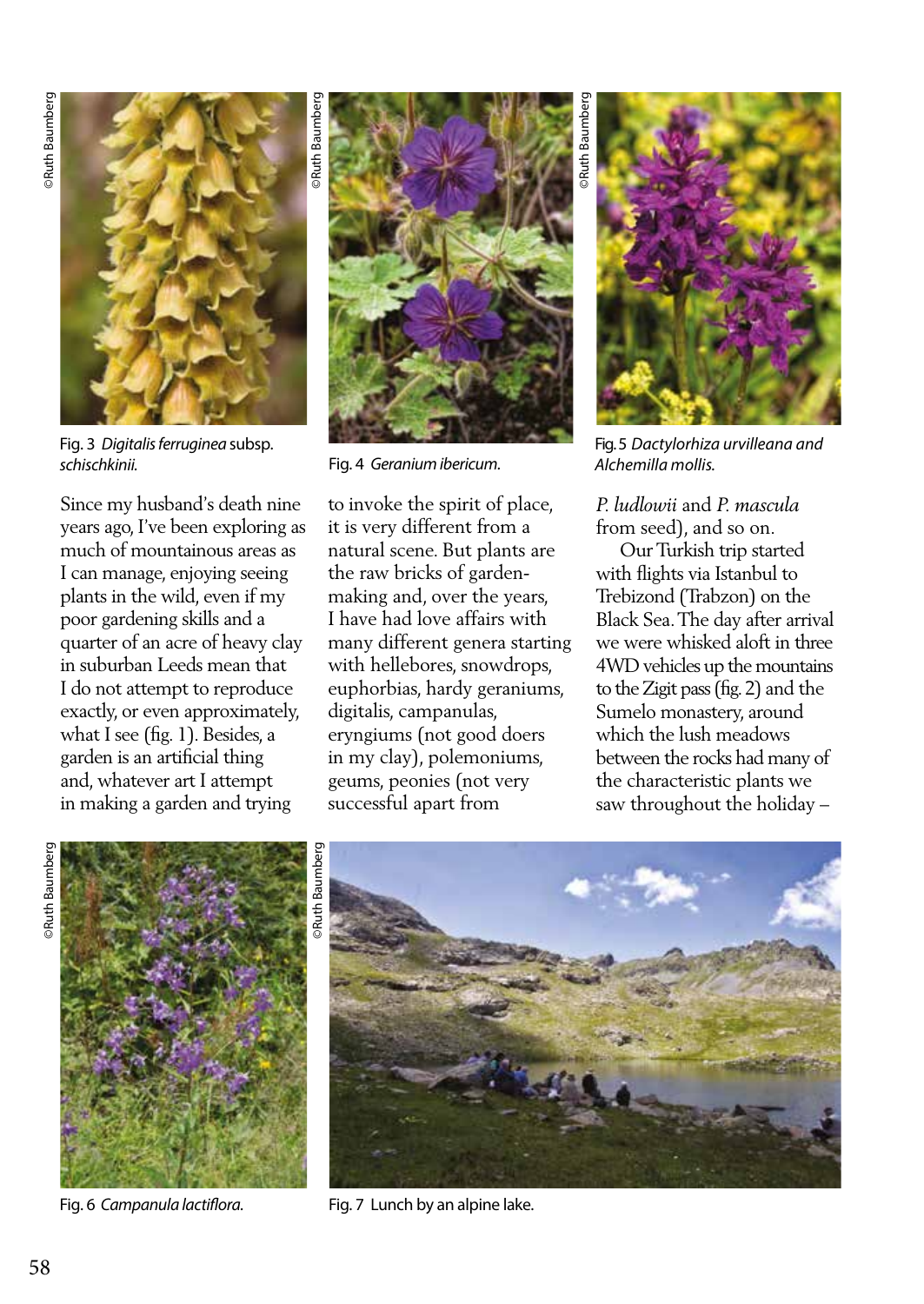

Fig. 3 *Digitalis ferruginea* subsp. *schischkinii.*

Since my husband's death nine years ago, I've been exploring as much of mountainous areas as I can manage, enjoying seeing plants in the wild, even if my poor gardening skills and a quarter of an acre of heavy clay in suburban Leeds mean that I do not attempt to reproduce exactly, or even approximately, what I see (fig. 1). Besides, a garden is an artificial thing and, whatever art I attempt in making a garden and trying



Fig. 4 *Geranium ibericum.*

to invoke the spirit of place, it is very different from a natural scene. But plants are the raw bricks of gardenmaking and, over the years, I have had love affairs with many different genera starting with hellebores, snowdrops, euphorbias, hardy geraniums, digitalis, campanulas, eryngiums (not good doers in my clay), polemoniums, geums, peonies (not very successful apart from

Fig. 5 *Dactylorhiza urvilleana and Alchemilla mollis.*

*P. ludlowii* and *P. mascula* from seed), and so on.

 Our Turkish trip started with flights via Istanbul to Trebizond (Trabzon) on the Black Sea. The day after arrival we were whisked aloft in three 4WD vehicles up the mountains to the Zigit pass (fig. 2) and the Sumelo monastery, around which the lush meadows between the rocks had many of the characteristic plants we saw throughout the holiday –





Fig. 6 Campanula lactiflora. Fig. 7 Lunch by an alpine lake.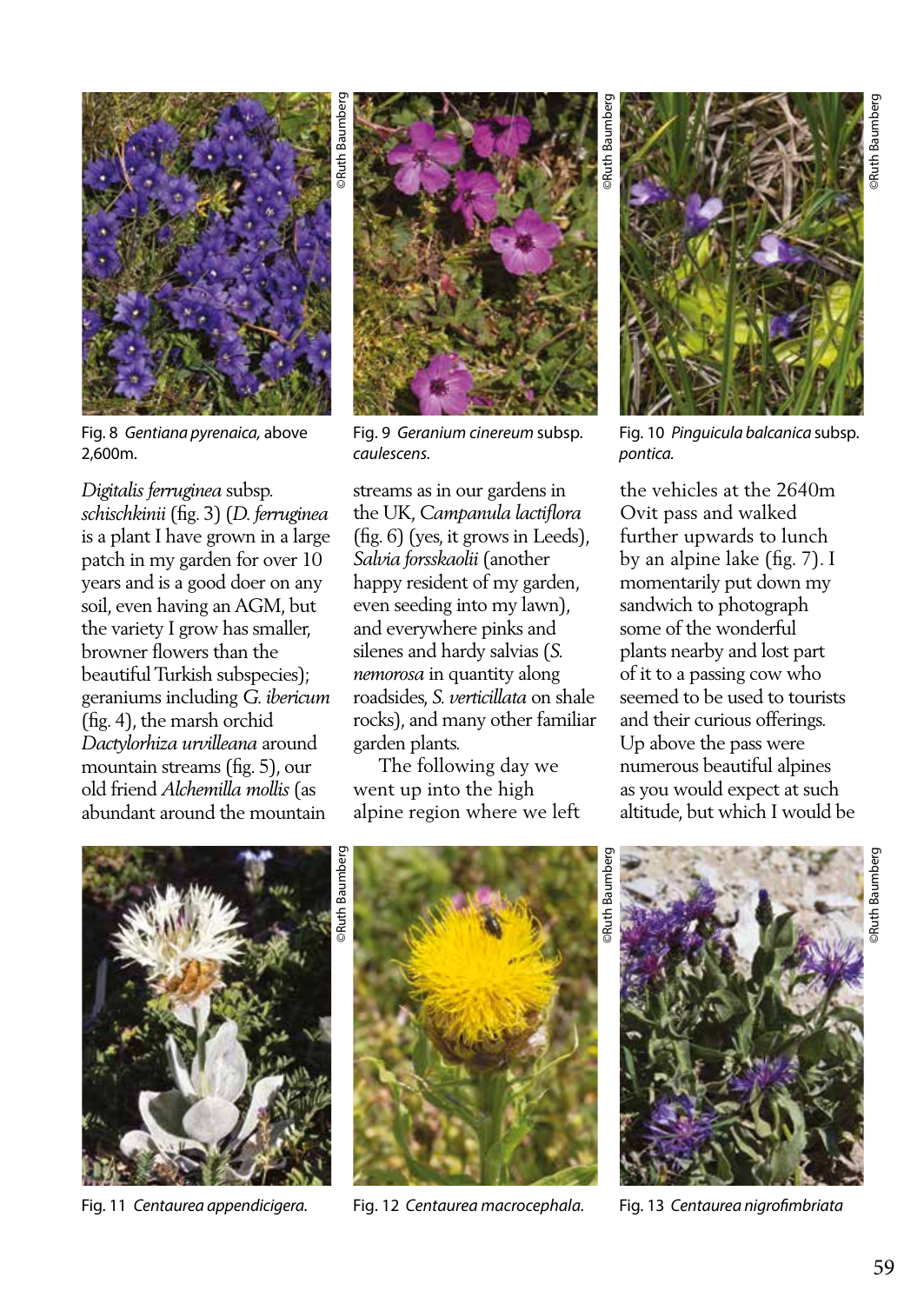

Fig. 8 *Gentiana pyrenaica,* above 2,600m.

## *Digitalis ferruginea* subsp.

*schischkinii* (fig. 3) (*D. ferruginea*  is a plant I have grown in a large patch in my garden for over 10 years and is a good doer on any soil, even having an AGM, but the variety I grow has smaller, browner flowers than the beautiful Turkish subspecies); geraniums including *G. ibericum* (fig. 4), the marsh orchid *Dactylorhiza urvilleana* around mountain streams (fig. 5), our old friend *Alchemilla mollis* (as abundant around the mountain



Fig. 9 *Geranium cinereum* subsp. *caulescens.*

streams as in our gardens in the UK, *Campanula lactiflora* (fig. 6) (yes, it grows in Leeds), *Salvia forsskaolii* (another happy resident of my garden, even seeding into my lawn), and everywhere pinks and silenes and hardy salvias (*S. nemorosa* in quantity along roadsides, *S. verticillata* on shale rocks), and many other familiar garden plants.

 The following day we went up into the high alpine region where we left

Fig. 10 *Pinguicula balcanica* subsp. *pontica.*

the vehicles at the 2640m Ovit pass and walked further upwards to lunch by an alpine lake (fig. 7). I momentarily put down my sandwich to photograph some of the wonderful plants nearby and lost part of it to a passing cow who seemed to be used to tourists and their curious offerings. Up above the pass were numerous beautiful alpines as you would expect at such altitude, but which I would be



Fig. 11 *Centaurea appendicigera.*



Fig. 12 *Centaurea macrocephala.*



Fig. 13 *Centaurea nigrofimbriata*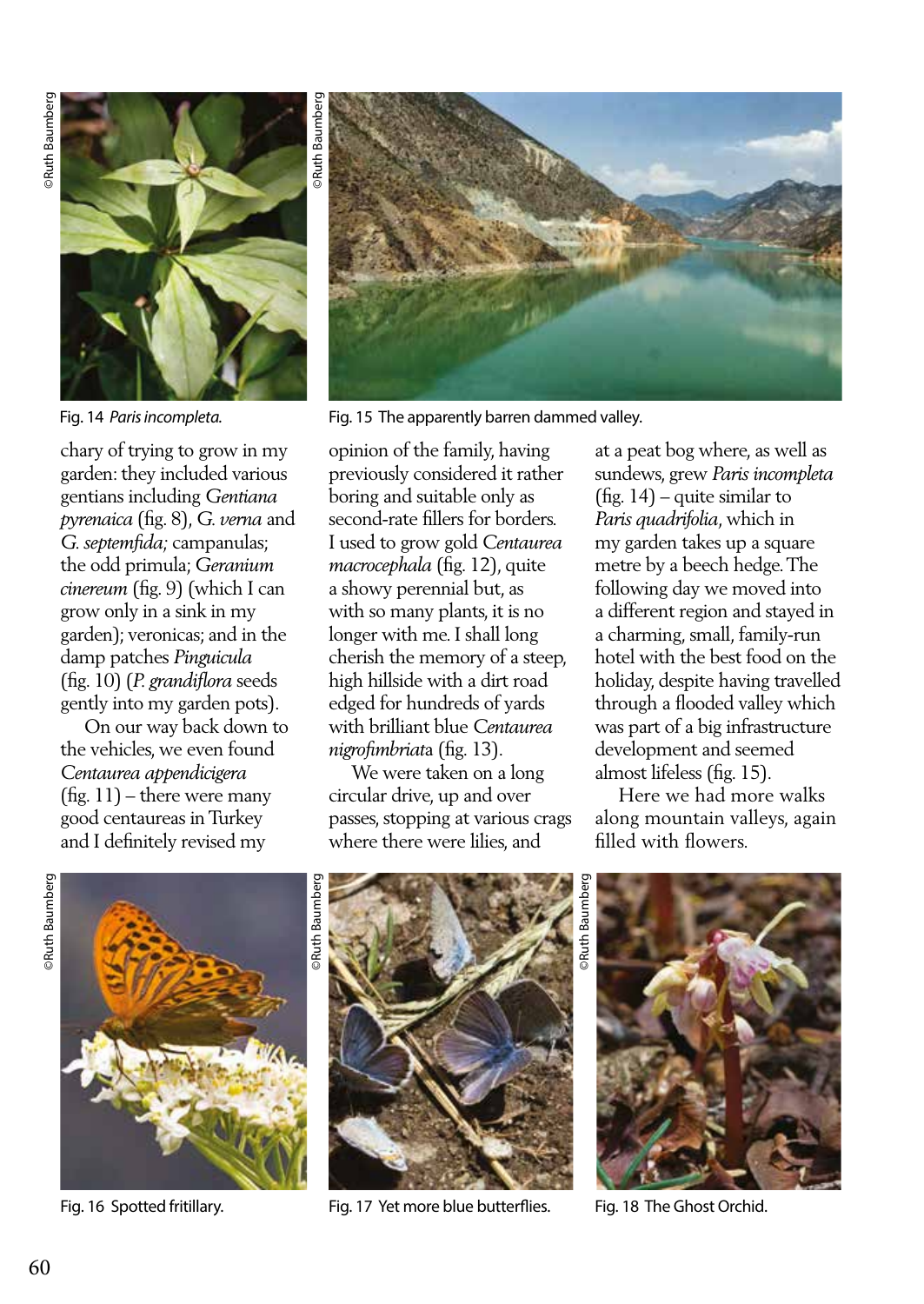

chary of trying to grow in my garden: they included various gentians including *Gentiana pyrenaica* (fig. 8), *G. verna* and *G. septemfida;* campanulas; the odd primula; *Geranium cinereum* (fig. 9) (which I can grow only in a sink in my garden); veronicas; and in the damp patches *Pinguicula* (fig. 10) (*P. grandiflora* seeds gently into my garden pots).

 On our way back down to the vehicles, we even found *Centaurea appendicigera*  (fig. 11) – there were many good centaureas in Turkey and I definitely revised my



Fig. 14 *Paris incompleta.* Fig. 15 The apparently barren dammed valley.

opinion of the family, having previously considered it rather boring and suitable only as second-rate fillers for borders. I used to grow gold *Centaurea macrocephala* (fig. 12), quite a showy perennial but, as with so many plants, it is no longer with me. I shall long cherish the memory of a steep, high hillside with a dirt road edged for hundreds of yards with brilliant blue *Centaurea nigrofimbriat*a (fig. 13).

 We were taken on a long circular drive, up and over passes, stopping at various crags where there were lilies, and

at a peat bog where, as well as sundews, grew *Paris incompleta* (fig. 14) – quite similar to *Paris quadrifolia*, which in my garden takes up a square metre by a beech hedge. The following day we moved into a different region and stayed in a charming, small, family-run hotel with the best food on the holiday, despite having travelled through a flooded valley which was part of a big infrastructure development and seemed almost lifeless (fig. 15).

 Here we had more walks along mountain valleys, again filled with flowers.







Fig. 16 Spotted fritillary. Fig. 17 Yet more blue butterflies. Fig. 18 The Ghost Orchid.